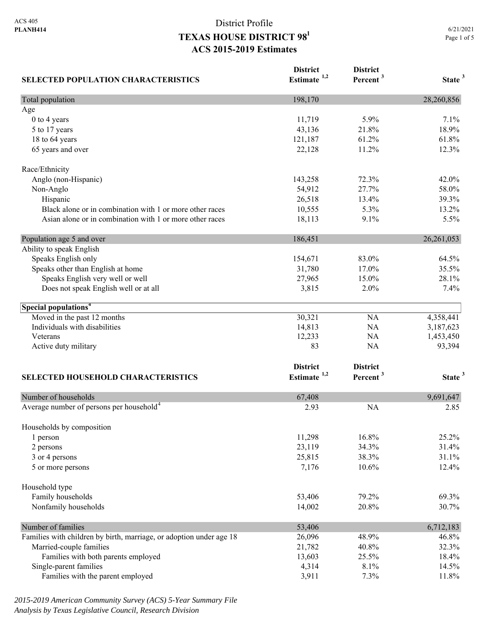| <b>SELECTED POPULATION CHARACTERISTICS</b>                          | <b>District</b><br>Estimate <sup>1,2</sup> | <b>District</b><br>Percent <sup>3</sup> | State <sup>3</sup> |
|---------------------------------------------------------------------|--------------------------------------------|-----------------------------------------|--------------------|
| Total population                                                    | 198,170                                    |                                         | 28,260,856         |
| Age                                                                 |                                            |                                         |                    |
| 0 to 4 years                                                        | 11,719                                     | 5.9%                                    | 7.1%               |
| 5 to 17 years                                                       | 43,136                                     | 21.8%                                   | 18.9%              |
| 18 to 64 years                                                      | 121,187                                    | 61.2%                                   | 61.8%              |
| 65 years and over                                                   | 22,128                                     | 11.2%                                   | 12.3%              |
| Race/Ethnicity                                                      |                                            |                                         |                    |
| Anglo (non-Hispanic)                                                | 143,258                                    | 72.3%                                   | 42.0%              |
| Non-Anglo                                                           | 54,912                                     | 27.7%                                   | 58.0%              |
| Hispanic                                                            | 26,518                                     | 13.4%                                   | 39.3%              |
| Black alone or in combination with 1 or more other races            | 10,555                                     | 5.3%                                    | 13.2%              |
| Asian alone or in combination with 1 or more other races            | 18,113                                     | 9.1%                                    | 5.5%               |
| Population age 5 and over                                           | 186,451                                    |                                         | 26,261,053         |
| Ability to speak English                                            |                                            |                                         |                    |
| Speaks English only                                                 | 154,671                                    | 83.0%                                   | 64.5%              |
| Speaks other than English at home                                   | 31,780                                     | 17.0%                                   | 35.5%              |
| Speaks English very well or well                                    | 27,965                                     | 15.0%                                   | 28.1%              |
| Does not speak English well or at all                               | 3,815                                      | $2.0\%$                                 | 7.4%               |
| Special populations <sup>4</sup>                                    |                                            |                                         |                    |
| Moved in the past 12 months                                         | 30,321                                     | NA                                      | 4,358,441          |
| Individuals with disabilities                                       | 14,813                                     | NA                                      | 3,187,623          |
| Veterans                                                            | 12,233                                     | NA                                      | 1,453,450          |
| Active duty military                                                | 83                                         | NA                                      | 93,394             |
|                                                                     | <b>District</b>                            | <b>District</b>                         |                    |
| <b>SELECTED HOUSEHOLD CHARACTERISTICS</b>                           | Estimate <sup>1,2</sup>                    | Percent <sup>3</sup>                    | State <sup>3</sup> |
|                                                                     |                                            |                                         |                    |
| Number of households                                                | 67,408                                     |                                         | 9,691,647          |
| Average number of persons per household <sup>4</sup>                | 2.93                                       | <b>NA</b>                               | 2.85               |
| Households by composition                                           |                                            |                                         |                    |
| 1 person                                                            | 11,298                                     | 16.8%                                   | 25.2%              |
| 2 persons                                                           | 23,119                                     | 34.3%                                   | 31.4%              |
| 3 or 4 persons                                                      | 25,815                                     | 38.3%                                   | 31.1%              |
| 5 or more persons                                                   | 7,176                                      | 10.6%                                   | 12.4%              |
| Household type                                                      |                                            |                                         |                    |
| Family households                                                   | 53,406                                     | 79.2%                                   | 69.3%              |
| Nonfamily households                                                | 14,002                                     | 20.8%                                   | 30.7%              |
| Number of families                                                  | 53,406                                     |                                         | 6,712,183          |
| Families with children by birth, marriage, or adoption under age 18 | 26,096                                     | 48.9%                                   | 46.8%              |
| Married-couple families                                             | 21,782                                     | 40.8%                                   | 32.3%              |
| Families with both parents employed                                 | 13,603                                     | 25.5%                                   | 18.4%              |
| Single-parent families                                              | 4,314                                      | 8.1%                                    | 14.5%              |
| Families with the parent employed                                   | 3,911                                      | 7.3%                                    | 11.8%              |

*2015-2019 American Community Survey (ACS) 5-Year Summary File Analysis by Texas Legislative Council, Research Division*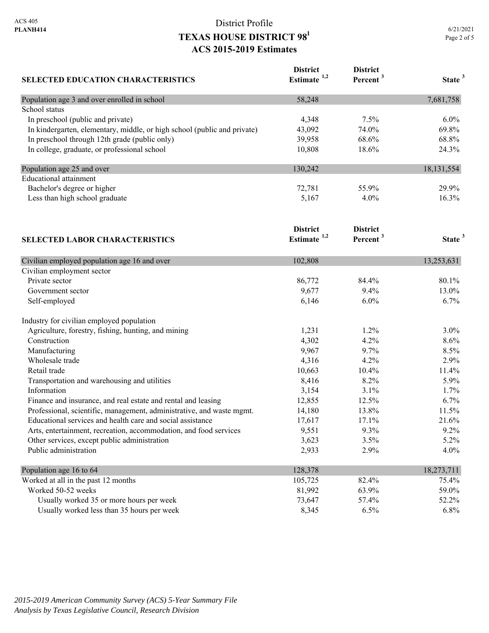| <b>SELECTED EDUCATION CHARACTERISTICS</b>                                | <b>District</b><br>Estimate <sup>1,2</sup> | <b>District</b><br>Percent <sup>3</sup> | State <sup>3</sup> |
|--------------------------------------------------------------------------|--------------------------------------------|-----------------------------------------|--------------------|
| Population age 3 and over enrolled in school                             | 58,248                                     |                                         | 7,681,758          |
| School status                                                            |                                            |                                         |                    |
| In preschool (public and private)                                        | 4,348                                      | 7.5%                                    | 6.0%               |
| In kindergarten, elementary, middle, or high school (public and private) | 43,092                                     | 74.0%                                   | 69.8%              |
| In preschool through 12th grade (public only)                            | 39,958                                     | 68.6%                                   | 68.8%              |
| In college, graduate, or professional school                             | 10,808                                     | 18.6%                                   | 24.3%              |
| Population age 25 and over                                               | 130,242                                    |                                         | 18, 131, 554       |
| <b>Educational</b> attainment                                            |                                            |                                         |                    |
| Bachelor's degree or higher                                              | 72,781                                     | 55.9%                                   | 29.9%              |
| Less than high school graduate                                           | 5,167                                      | $4.0\%$                                 | 16.3%              |
| <b>SELECTED LABOR CHARACTERISTICS</b>                                    | <b>District</b><br>Estimate <sup>1,2</sup> | <b>District</b><br>Percent <sup>3</sup> | State <sup>3</sup> |
| Civilian employed population age 16 and over                             | 102,808                                    |                                         | 13,253,631         |
| Civilian employment sector                                               |                                            |                                         |                    |
| Private sector                                                           | 86,772                                     | 84.4%                                   | 80.1%              |
| Government sector                                                        | 9,677                                      | 9.4%                                    | 13.0%              |
| Self-employed                                                            | 6,146                                      | 6.0%                                    | $6.7\%$            |
| Industry for civilian employed population                                |                                            |                                         |                    |
| Agriculture, forestry, fishing, hunting, and mining                      | 1,231                                      | 1.2%                                    | 3.0%               |
| Construction                                                             | 4,302                                      | 4.2%                                    | 8.6%               |
| Manufacturing                                                            | 9,967                                      | 9.7%                                    | 8.5%               |
| Wholesale trade                                                          | 4,316                                      | 4.2%                                    | 2.9%               |
| Retail trade                                                             | 10,663                                     | 10.4%                                   | 11.4%              |
| Transportation and warehousing and utilities                             | 8,416                                      | 8.2%                                    | 5.9%               |
| Information                                                              | 3,154                                      | 3.1%                                    | 1.7%               |
| Finance and insurance, and real estate and rental and leasing            | 12,855                                     | 12.5%                                   | 6.7%               |
| Professional, scientific, management, administrative, and waste mgmt.    | 14,180                                     | 13.8%                                   | 11.5%              |
| Educational services and health care and social assistance               | 17,617                                     | 17.1%                                   | 21.6%              |
| Arts, entertainment, recreation, accommodation, and food services        | 9,551                                      | 9.3%                                    | 9.2%               |
| Other services, except public administration                             | 3,623                                      | 3.5%                                    | 5.2%               |
| Public administration                                                    | 2,933                                      | 2.9%                                    | 4.0%               |
| Population age 16 to 64                                                  | 128,378                                    |                                         | 18,273,711         |
| Worked at all in the nast 12 months                                      | 105.725                                    | 82.40%                                  | 75.40%             |

| Worked at all in the past 12 months        | 105,725 | 82.4%   | 75.4% |
|--------------------------------------------|---------|---------|-------|
| Worked 50-52 weeks                         | 81.992  | 63.9%   | 59.0% |
| Usually worked 35 or more hours per week   | 73.647  | 57.4%   | 52.2% |
| Usually worked less than 35 hours per week | 8.345   | $6.5\%$ | 6.8%  |
|                                            |         |         |       |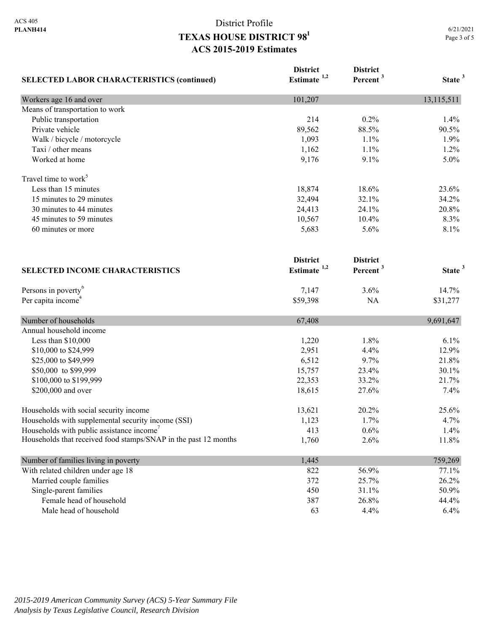| <b>SELECTED LABOR CHARACTERISTICS (continued)</b>               | <b>District</b><br>Estimate $1,2$ | <b>District</b><br>Percent <sup>3</sup> | State <sup>3</sup> |
|-----------------------------------------------------------------|-----------------------------------|-----------------------------------------|--------------------|
|                                                                 |                                   |                                         |                    |
| Workers age 16 and over                                         | 101,207                           |                                         | 13,115,511         |
| Means of transportation to work                                 |                                   |                                         |                    |
| Public transportation                                           | 214                               | 0.2%                                    | 1.4%               |
| Private vehicle                                                 | 89,562                            | 88.5%                                   | 90.5%              |
| Walk / bicycle / motorcycle                                     | 1,093                             | 1.1%                                    | 1.9%               |
| Taxi / other means                                              | 1,162                             | 1.1%                                    | 1.2%               |
| Worked at home                                                  | 9,176                             | 9.1%                                    | 5.0%               |
| Travel time to work <sup>5</sup>                                |                                   |                                         |                    |
| Less than 15 minutes                                            | 18,874                            | 18.6%                                   | 23.6%              |
| 15 minutes to 29 minutes                                        | 32,494                            | 32.1%                                   | 34.2%              |
| 30 minutes to 44 minutes                                        | 24,413                            | 24.1%                                   | 20.8%              |
| 45 minutes to 59 minutes                                        | 10,567                            | 10.4%                                   | 8.3%               |
| 60 minutes or more                                              | 5,683                             | 5.6%                                    | 8.1%               |
|                                                                 | <b>District</b>                   | <b>District</b>                         |                    |
| <b>SELECTED INCOME CHARACTERISTICS</b>                          | Estimate <sup>1,2</sup>           | Percent <sup>3</sup>                    | State <sup>3</sup> |
| Persons in poverty <sup>6</sup>                                 | 7,147                             | 3.6%                                    | 14.7%              |
| Per capita income <sup>4</sup>                                  | \$59,398                          | NA                                      | \$31,277           |
| Number of households                                            | 67,408                            |                                         | 9,691,647          |
| Annual household income                                         |                                   |                                         |                    |
| Less than \$10,000                                              | 1,220                             | 1.8%                                    | 6.1%               |
| \$10,000 to \$24,999                                            | 2,951                             | 4.4%                                    | 12.9%              |
| \$25,000 to \$49,999                                            | 6,512                             | 9.7%                                    | 21.8%              |
| \$50,000 to \$99,999                                            | 15,757                            | 23.4%                                   | 30.1%              |
| \$100,000 to \$199,999                                          | 22,353                            | 33.2%                                   | 21.7%              |
| \$200,000 and over                                              | 18,615                            | 27.6%                                   | 7.4%               |
| Households with social security income                          | 13,621                            | 20.2%                                   | 25.6%              |
| Households with supplemental security income (SSI)              | 1,123                             | 1.7%                                    | 4.7%               |
| Households with public assistance income'                       | 413                               | 0.6%                                    | 1.4%               |
| Households that received food stamps/SNAP in the past 12 months | 1,760                             | 2.6%                                    | 11.8%              |
| Number of families living in poverty                            | 1,445                             |                                         | 759,269            |
| With related children under age 18                              | 822                               | 56.9%                                   | 77.1%              |
| Married couple families                                         | 372                               | 25.7%                                   | 26.2%              |
| Single-parent families                                          | 450                               | 31.1%                                   | 50.9%              |
| Female head of household                                        | 387                               | 26.8%                                   | 44.4%              |
| Male head of household                                          | 63                                | 4.4%                                    | 6.4%               |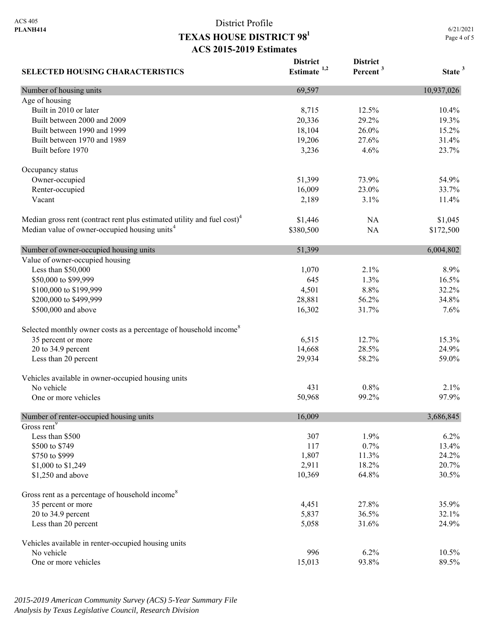**District** 

**District** 

**SELECTED HOUSING CHARACTERISTICS Estimate 1,2 Percent <sup>3</sup> State <sup>3</sup>** Number of housing units 10,937,026 Age of housing Built in 2010 or later 10.4% 10.4% 10.4% 10.4% 10.4% 10.4% 10.4% 10.4% 10.5% 10.4% 10.5% 10.4% 10.5% 10.5% 10.5% 10.5% 10.5% 10.5% 10.5% 10.5% 10.5% 10.5% 10.5% 10.5% 10.5% 10.5% 10.5% 10.5% 10.5% 10.5% 10.5% 10.5% 10.5% 1 Built between 2000 and 2009 20.336 29.2% 19.3% Built between 1990 and 1999 18,104 26.0% 15.2% Built between 1970 and 1989 19,206 27.6% 31.4% Built before 1970 23.7% 23.7% Occupancy status Owner-occupied 51,399 73.9% 54.9% 54.9% Renter-occupied 16,009 23.0% 33.7% Vacant 2,189 3.1% 11.4% Median gross rent (contract rent plus estimated utility and fuel cost)<sup>4</sup> 81,446 NA \$1,045 Median value of owner-occupied housing units<sup>4</sup> \$380,500 NA \$172,500 Number of owner-occupied housing units 6,004,802 6,004,802 Value of owner-occupied housing Less than \$50,000 8.9% 8.9% \$50,000 to \$99,999 645 1.3% 16.5% 16.5% \$100,000 to \$199,999  $\begin{array}{cccc} 32.2\% & 32.2\% \end{array}$  \$200,000 to \$499,999 28,881 56.2% 34.8% \$500,000 and above 16,302 31.7% 7.6% 7.6% Selected monthly owner costs as a percentage of household income<sup>8</sup> 35 percent or more 15.3% 12.7% 15.3% 20 to 34.9 percent 24.9% 24.9% 24.9% 24.9% 24.9% 26.5% 24.9% 26.5% 24.9% 26.5% 26.5% 26.5% 26.6% 26.7% 26.7% 26.5% 26.7% 26.7% 26.7% 26.7% 26.7% 26.7% 26.7% 26.7% 26.7% 26.7% 26.7% 26.7% 26.7% 26.7% 26.7% 26.7% 26.7% 26.7% Less than 20 percent 29,934 58.2% 59.0% Vehicles available in owner-occupied housing units No vehicle  $\frac{431}{0.8\%}$  2.1% One or more vehicles 60.968 99.2% 97.9% 97.9% Number of renter-occupied housing units 16,009 3,686,845 Gross rent<sup>9</sup> Less than \$500  $307$  1.9% 6.2%  $$500 \text{ to } $749$  13.4% 13.4%  $\frac{$750 \text{ to } $999}$  24.2% 24.2% \$1,000 to \$1,249 20.7% 20.7% \$1,250 and above 30.5% 30.5% 30.5% 30.5% 30.5% 30.5% 30.5% 30.5% 30.5% 30.5% 30.5% 30.5% 30.5% 30.5% 30.5% 30.5% 30.5% 30.5% 30.5% 30.5% 30.5% 30.5% 30.5% 30.5% 30.5% 30.5% 30.5% 30.5% 30.5% 30.5% 30.5% 30.5% 30.5% 30.5% 3 Gross rent as a percentage of household income<sup>8</sup> 35 percent or more 35.9% 35.9% 20 to 34.9 percent 32.1% 36.5% 32.1% Less than 20 percent 24.9% 24.9% 26.058 31.6% 24.9% Vehicles available in renter-occupied housing units No vehicle  $996$  6.2% 10.5% One or more vehicles 89.5% 89.5%